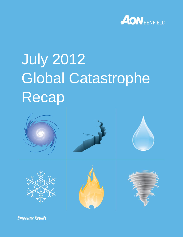

# July 2012 Global Catastrophe Recap



**Empower Results**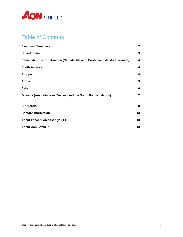

#### Table of Contents

| <b>Executive Summary</b>                                                | $\mathbf{2}$ |
|-------------------------------------------------------------------------|--------------|
| <b>United States</b>                                                    | 3            |
| Remainder of North America (Canada, Mexico, Caribbean Islands, Bermuda) | 4            |
| <b>South America</b>                                                    | 4            |
| <b>Europe</b>                                                           | 4            |
| Africa                                                                  | 5            |
| Asia                                                                    | 6            |
| Oceania (Australia, New Zealand and the South Pacific Islands)          | 7            |
| <b>APPENDIX</b>                                                         | 8            |
| <b>Contact Information</b>                                              | 13           |
| About Impact Forecasting® LLC                                           | 13           |
| <b>About Aon Benfield</b>                                               | 13           |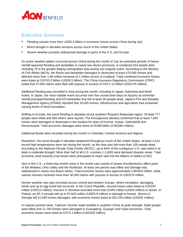

#### <span id="page-2-0"></span>**Executive Summary**

- Flooding causes more than USD8.3 billion in economic losses across China during July
- Worst drought in decades worsens across much of the United States
- Severe weather prompts widespread damage in parts of the U.S. and Europe

An active weather pattern occurred across China during the month of July as extended periods of heavy rainfall spawned flooding and landslides in nearly two-dozen provinces. A combined 324 people died, including 79 in the greater Beijing metropolitan area during one singular event. According to the Ministry of Civil Affairs (MCA), the floods and landslides damaged or destroyed at least 475,000 homes and affected more than 1.66 million hectares (4.1 million acres) of cropland. Total combined economic losses were listed at CNY53.2 billion (USD8.3 billion). The China Insurance Regulatory Commission (CIRC) noted that 47,000 claims were filed with payouts in excess of CNY1.12 billion (USD176 million).

Additional flooding was recorded in Asia during the month, including in Japan, Indonesia and North Korea. In Japan, the most notable event occurred over five consecutive days on Kyushu as torrential rainfall prompted flooding and 870 landslides that left at least 30 people dead. Japan's Fire and Disaster Management Agency (FDMA) reported that 16,045 homes, infrastructure and agriculture had sustained varying levels of flood inundation.

Shifting to Europe, the worst flooding in decades struck southern Russia's Krasnodar region. At least 171 people were killed and 584 others were injured. The Emergencies Ministry confirmed that at least 7,000 homes were damaged or destroyed in the hardest-hit cities of Krymsk, Kuban, Gelendzhik and Novorossiysk. Total economic damages were listed at RUB9 billion (USD280 million).

Additional floods were recorded during the month in Colombia, Central America and Nigeria.

Elsewhere, the worst drought in decades deepened throughout much of the United States. At least 4,313 record high temperatures were set during the month, as the heat also left more than 100 people dead. According to the National Climatic Data Center (NCDC), up to 64% of the contiguous U.S. was listed in at least a moderate drought. More than half of all U.S. counties (~1,600) were declared disaster areas. Total economic (and insured) crop losses were anticipated to reach well into the billions of dollars (USD).

Also in the U.S., a three-day stretch early in the month saw rounds of severe thunderstorms affect parts of the Midwest, Ohio Valley and the Northeast. At least one person was killed and damage was widespread in nearly one-dozen states. Total economic losses were approximately USD450 million, while various insurers received more than 50,000 claims with payouts in excess of USD275 million.

Severe weather was also recorded across central and western Europe, where tornadoes, damaging winds and up to egg-sized hail occurred. In the Czech Republic, insured losses were listed at CZK247 million (USD12 million). Insurers in Slovenia recorded more than EUR4 million (USD5 million) in losses. In Poland, an EF-2 tornado left up to PLN20 million (USD5.9 million) in damage to forests. Storms in Georgia left 22,000 homes damaged, with economic losses listed at GEL150 million (USD91 million).

In tropical cyclone news, Typhoon Vicente made landfall in southern China at peak strength. Eight people were killed and 11,700 homes were damaged in Guangdong, Guangxi and Fujian provinces. Total economic losses were listed at CNY2.1 billion (USD329 million).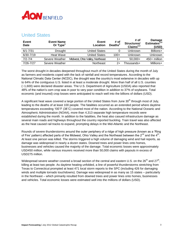

#### <span id="page-3-0"></span>*<u>United States</u>*

| Event<br><b>Date</b> | <b>Event Name</b><br>Or $Type1$ | Event<br>Location               | # of<br>Deaths <sup>2</sup> | # of<br>Structures/<br>Claims $^{2,3}$ | Damage<br>Estimates <sup>2,4</sup><br>(USD) |
|----------------------|---------------------------------|---------------------------------|-----------------------------|----------------------------------------|---------------------------------------------|
| $6/1 - 7/31$         | <b>Drought</b>                  | <b>United States</b>            |                             | Unknown                                | Billions+                                   |
| $6/30 - 7/19$        | Heat Wave                       | <b>United States</b>            | $100+$                      | Unknown                                | Unknown                                     |
| $7/2 - 7/4$          | Severe Weather                  | Midwest, Ohio Valley, Northeast | 1+                          | $50.000+$                              | $450+$ million                              |
| 7/26-7/27            | Severe Weather                  | <b>Northeast</b>                | $2+$                        | -housands                              | Millions+                                   |

<span id="page-3-1"></span>The worst drought in decades deepened throughout much of the United States during the month of July as farmers and residents coped with the lack of rainfall and record temperatures. According to the National Climatic Data Center (NCDC), the drought was the country's most extensive in decades with up to 64% of the contiguous U.S. listed in at least a moderate drought. More than half of all U.S. counties (~1,600) were declared disaster areas. The U.S. Department of Agriculture (USDA) also reported that 48% of the nation's corn crop was in poor to very poor condition in addition to 37% of soybeans. Total economic (and insured) crop losses were anticipated to reach well into the billions of dollars (USD).

A significant heat wave covered a large portion of the United States from June 30<sup>th</sup> through most of July, leading to the deaths of at least 100 people. The fatalities occurred as an extended period where daytime temperatures exceeding 100˚F (38˚C) covered most of the nation. According to the National Oceanic and Atmospheric Administration (NOAA), more than 4,313 separate high temperature records were established during the month. In addition to the fatalities, the heat also casued infrastructure damage as several main roads and highways throughout the country reported buckling. Train travel was also affected as the heat caused rail tracks to expand, prompting delays in the Mid-Atlantic and the Northeast.

Rounds of severe thunderstorms around the outer periphery of a ridge of high pressure (known as a 'Ring of Fire' pattern) affected parts of the Midwest, Ohio Valley and the Northeast between the 2<sup>nd</sup> and the 4<sup>th</sup>. At least one person was killed. The storms triggered a high volume of damaging wind and hail reports, as damage was widespread in nearly a dozen states. Downed trees and power lines onto homes, businesses and vehicles caused the majority of the damage. Total economic losses were approximately USD450 million, while various insurers received more than 50,000 claims with payouts in excess of USD275 million.

Widespread severe weather covered a broad section of the central and eastern U.S. on the 26<sup>th</sup> and 27<sup>th</sup>, killing at least two people. As daytime heating unfolded, a line of powerful thunderstorms stretching from Texas to Connecticut prompted at least 471 local storm reports to the SPC (including 426 for damaging winds and multiple tornado touchdowns). Damage was widespread in as many as 15 states – particularly in the Northeast – which primarily resulted from downed trees and power lines onto homes, businesses and vehicles. Total economic losses were estimated well into the millions of dollars (USD).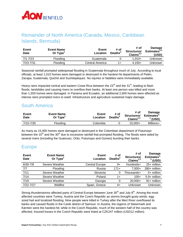

#### Remainder of North America (Canada, Mexico, Caribbean Islands, Bermuda)

| Event<br>Date | <b>Event Name</b><br>Or Type <sup>1</sup> | <b>Event</b><br>Location | # of<br>Deaths <sup>2</sup> | # of<br>Structures/<br>Claims $^{2,3}$ | <b>Damage</b><br>Estimates <sup><math>2,4</math></sup><br>(USD) |
|---------------|-------------------------------------------|--------------------------|-----------------------------|----------------------------------------|-----------------------------------------------------------------|
| 7/1-7/23      | Flooding                                  | Guatemala                |                             | $1.010+$                               | Unknown                                                         |
| $7/23 - 7/31$ | Flooding                                  | Central America          | 1+                          | $4.150+$                               | Unknown                                                         |

Seasonal rainfall prompted widespread flooding in Guatemala throughout much of July. According to local officials, at least 1,010 homes were damaged or destroyed in the hardest-hit departments of Petén, Zacapa, Guatemala, Quiché and Suchitepéquez. No injuries or fatalities were immediately available.

Heavy rains impacted central and eastern Costa Rica between the  $23<sup>rd</sup>$  and the 31<sup>st</sup>, leading to flash floods, landslides and causing rivers to overflow their banks. At least one person was killed and more than 1,550 homes were damaged. In Panama and Ecuador, an additional 2,600 homes were affected as intense rains prompted rivers to swell. Infrastructure and agriculture sustained major damage.

#### <span id="page-4-0"></span>*A*MAMERICA

| Event<br>Date | <b>Event Name</b><br>Or Type | Event<br>Location | # of<br>Deaths <sup>2</sup> | # of<br>Structures/<br>Claims $^{2,3}$ | Damage<br>Estimates <sup>2</sup><br>$4$ (USD) |
|---------------|------------------------------|-------------------|-----------------------------|----------------------------------------|-----------------------------------------------|
| 7/15-7/30     | Flooding                     | Colombia          |                             | 15,000+                                | Millions+                                     |

<span id="page-4-1"></span>As many as 15,000 homes were damaged or destroyed in the Colombian department of Putumayo between the  $15<sup>th</sup>$  and the  $30<sup>th</sup>$  due to excessive rainfall that prompted flooding. The floods were aided by several rivers (including the Guamuez, Orito, Putumayo and Guineo) bursting their banks.

#### Europe

| Event<br><b>Date</b> | <b>Event Name</b><br>Or $Type1$ | Event<br>Location     | # of<br>Deaths <sup>2</sup> | # of<br>Structures/<br>Claims $^{2,3}$ | Damage<br>Estimates <sup>2</sup><br>$4$ (USD) |
|----------------------|---------------------------------|-----------------------|-----------------------------|----------------------------------------|-----------------------------------------------|
| $6/30 - 7/8$         | Severe Weather                  | <b>Central Europe</b> | 9+                          | Hundreds+                              | $25+$ million                                 |
| 7/7                  | Flooding                        | Russia                | $171+$                      | $7,000+$                               | 280+ million                                  |
| 7/11                 | Severe Weather                  | Slovenia              | 0                           | Thousands+                             | 5+ million                                    |
| 7/14                 | Severe Weather                  | Poland                | 1+                          | $100+$                                 | $5.9+$ million                                |
| 7/19                 | Severe Weather                  | Georgia               | 0                           | $20,000+$                              | 91+ million                                   |
| $7/22 - 7/27$        | Wildfire                        | Spain, Greece         | 4+                          | Unknown                                | Unknown                                       |

Strong thunderstorms affected parts of Central Europe between June  $30<sup>th</sup>$  and July  $8<sup>th</sup>$ . Among the most affected countries were Turkey, Austria and the Czech Republic as storms brought gusty winds, eggsized hail and localized flooding. Nine people were killed in Turkey after the Mert River overflowed its banks and caused floods in the Canik district of Samsun. In Austria, the regions of Steiermark and Kärnten were the hardest-hit; while in the Czech Republic, much of the western half of the country was affected. Insured losses in the Czech Republic were listed at CZK247 million (USD12 million).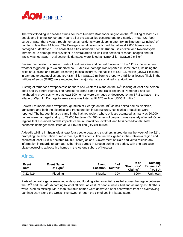

The worst flooding in decades struck southern Russia's Krasnodar Region on the 7<sup>th</sup>, killing at least 171 people and injuring 584 others. Nearly all of the casualties occurred due to a nearly 7-meter (23-foot) surge of water that swept through homes as residents were sleeping after 304 millimeters (12 inches) of rain fell in less than 24 hours. The Emergencies Ministry confirmed that at least 7,000 homes were damaged or destroyed. The hardest-hit cities included Krymsk, Kuban, Gelendzhik and Novorossiysk. Infrastructure damage was prevalent in several areas as well with sections of roads, bridges and rail tracks washed away. Total economic damages were listed at RUB9 billion (USD280 million).

Severe thunderstorms crossed parts of northwestern and central Slovenia on the  $11<sup>th</sup>$  as the inclement weather triggered up to walnut-sized hail. Extensive damage was reported in some areas, including the cities of Ljubljana and Bovec. According to local insurers, the hail led to EUR2.5 million (USD3.1 million) in damage to automobiles and EUR1.5 million (USD1.9 million) to property. Additional losses (likely in the millions of euros (EUR)) were expected from major damage sustained to agriculture.

A string of tornadoes swept across northern and western Poland on the 14<sup>th</sup>, leaving at least one person dead and 10 others injured. The hardest-hit areas came in the Baltic region of Pomerania and two neighboring provinces, where at least 100 homes were damaged or destroyed by an EF-2 tornado in the village of Wycinki. Damage to trees alone was listed at PLN20 million (USD5.9 million).

Powerful thunderstorms swept through much of Georgia on the 19<sup>th</sup> as hail pelted homes, vehicles, agriculture and both the electrical and transportation infrastructures. No injuries or fatalities were reported. The hardest-hit area came in the Kakheti region, where officials estimated as many as 20,000 homes were damaged and up to 22,000 hectares (54,400 acres) of cropland was severely affected. Other regions that sustained notable impacts came in Samtskhe-Javakheti and Mtskheta-Mtianeti. Total economic damages were listed at GEL150 million (USD91 million).

A deadly wildfire in Spain left at least four people dead and six others injured during the week of the 22<sup>nd</sup>, prompting the evacuation of more than 1,400 residents. The fire was ignited in the Catalonia region and charred at least 14,000 hectares (32,000 acres) of land. Government officials had yet to release any information in regards to damage. Other fires burned in Greece during the period, with one particular blaze destroying at least five homes in the Athens suburb of Keratea.

#### <span id="page-5-0"></span>Africa

| <b>Event</b><br>Date | <b>Event Name</b><br>Or Type | Event<br>Location | # of<br>Deaths <sup>2</sup> | # of<br>Structures/<br>Claims $^{2,3}$ | Damage<br>Estimates <sup>2</sup><br>$4$ (USD) |
|----------------------|------------------------------|-------------------|-----------------------------|----------------------------------------|-----------------------------------------------|
| 7/22-7/24            | Flooding                     | Nigeria           | $39+$                       | $600+$                                 | Jnknown                                       |

<span id="page-5-1"></span>Parts of central Nigeria sustained widespread flooding after torrential rains fell across the region between the  $22^{nd}$  and the  $24^{th}$ . According to local officials, at least 39 people were killed and as many as 50 others were listed as missing. More than 600 mud homes were destroyed after floodwaters from an overflowing Lamingo Dam along the Cross River swept through the city of Jos in Plateau state.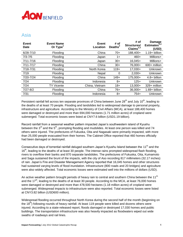## **AON BENFIELD**

#### Asia

| <b>Event</b><br><b>Date</b> | <b>Event Name</b><br>Or Type <sup>1</sup> | <b>Event</b><br>Location | # of<br>Deaths <sup>2</sup> | # of<br>Structures/<br>Claims $^{2,3}$ | <b>Damage</b><br>Estimates $^{2,4}$<br>(USD) |
|-----------------------------|-------------------------------------------|--------------------------|-----------------------------|----------------------------------------|----------------------------------------------|
| $6/28 - 7/10$               | Flooding                                  | China                    | $70+$                       | 188,400+                               | $1.19 + billion$                             |
| $7/3 - 7/5$                 | Flooding                                  | Japan                    | $1+$                        | $460+$                                 | Millions+                                    |
| $7/11 - 7/16$               | Flooding                                  | Japan                    | $30+$                       | $16,045+$                              | Millions+                                    |
| $7/11 - 7/17$               | Flooding                                  | China                    | $30+$                       | 76,000+                                | $600+$ million                               |
| 7/18-7/31                   | Flooding                                  | North Korea              | $119+$                      | 17,030+                                | <b>Unknown</b>                               |
| 7/19                        | Flooding                                  | Nepal                    | 0                           | $2,030+$                               | Unknown                                      |
| 7/20-7/24                   | Flooding                                  | China                    | $149+$                      | 175,000+                               | $4.8 + billion$                              |
| 7/24                        | Flooding                                  | Indonesia                | 8+                          | $125+$                                 | <b>Unknown</b>                               |
| 7/24                        | TY Vicente                                | China, Vietnam           | $18+$                       | 13,000+                                | 329+ million                                 |
| $7/27 - 8/2$                | Flooding                                  | China                    | 76+                         | $36,000+$                              | $1.69 + billion$                             |
| 7/31                        | Flooding                                  | Indonesia                | 8+                          | $754+$                                 | Unknown                                      |

Persistent rainfall fell across ten separate provinces of China between June 28<sup>th</sup> and July 10<sup>th</sup>, leading to the deaths of at least 70 people. Flooding and landslides led to widespread damage to personal property, infrastructure and agriculture. According to the Ministry of Civil Affairs (MCA), at least 188,400 homes were damaged or destroyed and more than 694,000 hectares (1.71 million acres) of cropland were submerged. Total economic losses were listed at CNY7.6 billion (USD1.19 billion).

Record rainfall from a seasonal weather pattern impacted Japan's southwestern island of Kyushu between the  $3<sup>rd</sup>$  and the  $5<sup>th</sup>$ , prompting flooding and mudslides. At least one person was killed and 74 others were injured. The prefectures of Fukuoka, Oita and Nagasaki were primarily impacted, with more than 25,000 people evacuated from their homes. The Cabinet Office reported that 460 homes officially had been damaged or destroyed.

Consecutive days of torrential rainfall deluged southern Japan's Kyushu Island between the 11<sup>th</sup> and the 16<sup>th</sup>, leading to the deaths of at least 30 people. The intense rains prompted widespread flash flooding, rivers to overflow their banks and 870 separate landslides. The prefectures of Fukuoka, Oita, Kumamoto and Saga sustained the brunt of the impacts, with the city of Aso recording 817 millimeters (32.17 inches) of rain. Japan's Fire and Disaster Management Agency reported that 16,045 homes and other structures had sustained varying levels of flood inundation. Infrastructure (800 roads and 20 bridges) and agriculture were also widely affected. Total economic losses were estimated well into the millions of dollars (USD).

An active weather pattern brought periods of heavy rain to central and southern China between the 11<sup>th</sup> and the  $17<sup>th</sup>$ , leading to the deaths of at least 30 people. According to the MCA, at least 76,000 homes were damaged or destroyed and more than 478,500 hectares (1.18 million acres) of cropland were submerged. Widespread impacts to infrastructure were also reported. Total economic losses were listed at CNY3.82 billion (USD600 million).

Widespread flooding occurred throughout North Korea during the second half of the month (beginning on the 18<sup>th</sup>) following rounds of heavy rainfall. At least 119 people were killed and dozens others were injured. According to a state-released report, floods damaged or destroyed 17,030 homes and public buildings. The transportation infrastructure was also heavily impacted as floodwaters wiped out wide swaths of roadways and rail lines.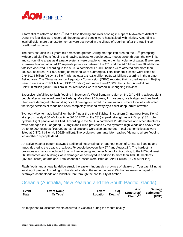

A torrential rainstorm on the 19<sup>th</sup> led to flash flooding and river flooding in Nepal's Midwestern district of Dang. No fatalities were recorded, though several people were hospitalized with injuries. According to local officials, more than 2,030 homes were destroyed in the village of Deukhuri after the Rapti River overflowed its banks.

The heaviest rains in 61 years fell across the greater Beijing metropolitan area on the  $21<sup>st</sup>$ , prompting widespread significant flooding and leaving at least 79 people dead. Floods swept through the city limits and surrounding areas as drainage systems were unable to handle the high volume of water. Elsewhere, extensive flooding affected 17 separate provinces between the  $20<sup>th</sup>$  and the  $24<sup>th</sup>$ . More than 70 additional fatalities occurred. According to the MCA, a combined 175,000 homes were affected and more than 300,000 hectares (741,000 acres) of cropland were submerged. Total economic losses were listed at CNY30.73 billion (USD4.8 billion), with at least CNY11.6 billion (USD1.8 billion) occurring in the greater Beijing area. The China Insurance Regulatory Commission (CIRC) reported that insured losses in Beijing were in excess of CNY1 billion (USD157 million) with more than 47,000 claims filed. An additional CNY120 million (USD19 million) in insured losses were recorded in Chongqing Province.

Excessive rainfall led to flash flooding in Indonesia's West Sumatra region on the  $24^{th}$ , killing at least eight people after a river overflowed in Padang. More than 90 homes, 11 mosques, five bridges and one health clinic were damaged. The most significant damage occurred to infrastructure, where local officials noted that large sections of roads had been completely washed away by a chest-deep torrent of water.

Typhoon Vicente made landfall on the  $24<sup>th</sup>$  near the city of Taishan in southern China (near Hong Kong) at approximately 4:00 AM local time (20:00 UTC on the 23 $^{rd}$ ) at peak strength as a 215 kph (135 mph) cyclone. Eight people were killed. According to the MCA, a combined 11,700 homes and other structures were damaged in Guangdong, Guangxi and Fujian provinces by the system's high winds and heavy rains. Up to 80,000 hectares (198,000 acres) of cropland were also submerged. Total economic losses were listed at CNY2.1 billion (USD329 million). The cyclone's remnants later reached Vietnam, where flooding left another 10 people dead.

An active weather pattern spawned additional heavy rainfall throughout much of China, as flooding and mudslides led to the deaths of at least 76 people between July  $27^{\text{th}}$  and August  $2^{\text{nd}}$ . The hardest-hit provinces and regions included Shanxi, Heilongjiang and Inner Mongolia. According to the MCA, at least 36,000 homes and buildings were damaged or destroyed in addition to more than 188,600 hectares (466,000 acres) of farmland. Total economic losses were listed at CNY11 billion (USD1.69 billion).

Flash floods and a large landslide struck the eastern Indonesian province of Maluku on Tuesday, killing at least eight people. According to disaster officials in the region, at least 754 homes were damaged or destroyed as the floods and landslide tore through the capital city of Ambon.

#### <span id="page-7-0"></span>**Oceania (Australia, New Zealand and the South Pacific Islands)**

| <b>Event</b><br><b>Date</b> | <b>Event Name</b><br>Or Type <sup>1</sup> | Event<br>Location | # of<br>Deaths <sup>2</sup> | # of<br>Structures/<br>Claims <sup>2,3</sup> | Damage<br>Estimates $^{2,4}$<br>(USD) |
|-----------------------------|-------------------------------------------|-------------------|-----------------------------|----------------------------------------------|---------------------------------------|
|-----------------------------|-------------------------------------------|-------------------|-----------------------------|----------------------------------------------|---------------------------------------|

<span id="page-7-1"></span>No major natural disaster events occurred in Oceania during the month of July.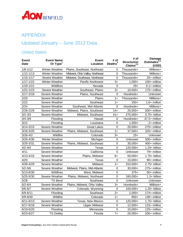

#### APPENDIX

### Updated January – June 2012 Data

#### United States

| <b>Event</b><br><b>Date</b> | <b>Event Name</b><br>Or Type <sup>1</sup> | <b>Event</b><br>Location        | # of<br>Deaths <sup>2</sup> | # of<br>Structures/<br>Claims <sup>2,3</sup> | <b>Damage</b><br>Estimates <sup>2,4</sup><br>(USD) |
|-----------------------------|-------------------------------------------|---------------------------------|-----------------------------|----------------------------------------------|----------------------------------------------------|
| $1/8 - 1/12$                | Winter Weather                            | Plains, Southeast, Northeast    | 0                           | Thousands+                                   | Millions+                                          |
| $1/12 - 1/13$               | Winter Weather                            | Midwest, Ohio Valley, Northeast | $\mathbf 0$                 | Thousands+                                   | Millions+                                          |
| $1/16 - 1/17$               | Severe Weather                            | Midwest, Southeast, Northeast   | $\mathbf 0$                 | Thousands+                                   | 25+ million                                        |
| $1/17 - 1/22$               | Winter Weather                            | Pacific Northwest               | $3+$                        | $1,000+$                                     | 100+ million                                       |
| $1/19 - 1/21$               | Wildfires                                 | Nevada                          | $\mathbf 0$                 | $29+$                                        | 9.1+ million                                       |
| $1/22 - 1/23$               | Severe Weather                            | Southeast, Plains               | $3+$                        | $10,000+$                                    | 175+ million                                       |
| $2/17 - 2/18$               | Severe Weather                            | Plains, Southeast               | $\boldsymbol{0}$            | Hundreds+                                    | Unknown                                            |
| 2/20                        | Severe Weather                            | Plains                          | $1+$                        | Thousands+                                   | Millions+                                          |
| 2/22                        | Severe Weather                            | Southeast                       | $1+$                        | $250+$                                       | 1.6+ million                                       |
| 2/24                        | Severe Weather                            | Southeast, Mid-Atlantic         | $\mathbf 0$                 | Hundreds+                                    | Millions+                                          |
| $2/28 - 2/29$               | Severe Weather                            | Midwest, Plains, Southeast      | $14+$                       | 25,000+                                      | 500+ million                                       |
| $3/2 - 3/3$                 | Severe Weather                            | Midwest, Southeast              | $41+$                       | 275,000+                                     | 3.75+ billion                                      |
| $3/4 - 3/9$                 | Flooding                                  | Hawaii                          | $\mathbf 0$                 | Hundreds+                                    | 37.5+ million                                      |
| 3/12                        | Flooding                                  | Louisiana                       | $\mathbf 0$                 | $1,500+$                                     | 2+ million                                         |
| $3/14 - 3/15$               | Severe Weather                            | <b>Great Lakes</b>              | $\mathbf 0$                 | $20,000+$                                    | 275+ million                                       |
| 3/18-3/25                   | Severe Weather                            | Plains, Midwest, Southeast      | $1+$                        | 37,500+                                      | 325+ million                                       |
| $3/26 - 4/2$                | Wildfire                                  | Colorado                        | $3+$                        | $25+$                                        | Unknown                                            |
| $3/26 - 4/30$               | Winter Weather                            | Michigan                        | $\mathbf 0$                 | Unknown                                      | 500+ million                                       |
| 3/29-3/31                   | Severe Weather                            | Plains, Midwest, Southeast      | $\boldsymbol{0}$            | $35,000+$                                    | 400+ million                                       |
| $4/2 - 4/4$                 | Severe Weather                            | <b>Texas</b>                    | $\pmb{0}$                   | 120,000+                                     | 1.25+ billion                                      |
| 4/11                        | Severe Weather                            | California                      | $\mathbf 0$                 | Unknown                                      | 79+ million                                        |
| $4/13 - 4/15$               | Severe Weather                            | Plains, Midwest                 | $6+$                        | $50,000+$                                    | 1.75+ billion                                      |
| 4/20                        | Severe Weather                            | <b>Texas</b>                    | $\mathbf 0$                 | 15,000+                                      | 90+ million                                        |
| 4/28-4/29                   | Severe Weather                            | Midwest                         | $1+$                        | 310,000+                                     | 2.75+ billion                                      |
| $5/2 - 5/6$                 | Severe Weather                            | Midwest, Plains, Mid-Atlantic   | $\mathbf 0$                 | $30,000+$                                    | 275+ million                                       |
| 5/13-6/30                   | Wildfires                                 | West, Midwest                   | $\boldsymbol{0}$            | $375+$                                       | 50+ million                                        |
| 5/25-5/30                   | Severe Weather                            | Plains, Midwest, Northeast      | $\mathbf 0$                 | 160,000+                                     | 1.3+ billion                                       |
| 5/28                        | <b>TS Beryl</b>                           | Southeast                       | $\mathbf 0$                 | Unknown                                      | Unknown                                            |
| $6/2 - 6/4$                 | Severe Weather                            | Plains, Midwest, Ohio Valley    | $3+$                        | Hundreds+                                    | Millions+                                          |
| $6/6 - 6/7$                 | Severe Weather                            | Colorado, Wyoming               | $\mathbf 0$                 | 100,000+                                     | 1.25+ billion                                      |
| $6/9 - 6/11$                | Flooding                                  | Southeast                       | $2+$                        | $1,000+$                                     | 174+ million                                       |
| $6/9 - 6/30$                | Wildfire                                  | Colorado                        | $1+$                        | 850+                                         | 136+ million                                       |
| $6/11 - 6/13$               | Severe Weather                            | Texas, New Mexico               | 0                           | 125,000+                                     | 1.75+ billion                                      |
| $6/17 - 6/18$               | Severe Weather                            | <b>Upper Midwest</b>            | 0                           | $12,500+$                                    | 115+ million                                       |
| $6/19 - 6/20$               | Flooding                                  | Minnesota                       | $\mathbf 0$                 | 15,000+                                      | 125+ million                                       |
| $6/23 - 6/27$               | <b>TS Debby</b>                           | Florida                         | $7+$                        | 20,000+                                      | 200+ million                                       |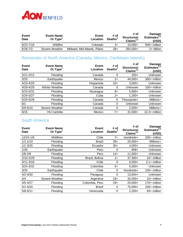

| Event<br>Date | <b>Event Name</b><br>Or $Type1$ | Event<br>Location             | # of<br>Deaths <sup>2</sup> | # of<br>Structures/<br>Claims $^{2,3}$ | <b>Damage</b><br>Estimates $^{2,4}$<br>(USD) |
|---------------|---------------------------------|-------------------------------|-----------------------------|----------------------------------------|----------------------------------------------|
| $6/23 - 7/10$ | Wildfire                        | Colorado                      | 2+                          | $10.000+$                              | $500+$ million                               |
| $6/28 - 7/2$  | Severe Weather                  | Midwest, Mid-Atlantic, Plains | $28+$                       | $350.000+$                             | $2+$ billion                                 |

#### Remainder of North America (Canada, Mexico, Caribbean Islands)

| Event<br><b>Date</b> | <b>Event Name</b><br>Or $Type1$ | Event<br>Location | # of<br>Deaths <sup>2</sup> | # of<br>Structures/<br>Claims $^{2,3}$ | Damage<br>Estimates $^{2,4}$<br>(USD) |
|----------------------|---------------------------------|-------------------|-----------------------------|----------------------------------------|---------------------------------------|
| $2/11 - 2/12$        | Flooding                        | Canada            | 0                           | $200+$                                 | <b>Unknown</b>                        |
| 3/20                 | Earthquake                      | Mexico            | $2+$                        | 44,000+                                | $300+$ million                        |
| $4/23 - 4/25$        | Flooding                        | Hispaniola        | $10+$                       | $3,000+$                               | Unknown                               |
| $4/28 - 4/29$        | Winter Weather                  | Canada            | 0                           | Unknown                                | $100+$ million                        |
| $5/15 - 5/31$        | Flooding                        | Nicaragua         | 9+                          | $5,900+$                               | Unknown                               |
| $5/24 - 5/27$        | Flooding                        | Cuba              | $2+$                        | $1,200+$                               | <b>Unknown</b>                        |
| $5/25 - 5/29$        | Flooding                        | Canada            | 0                           | Thousands+                             | Millions+                             |
| 6/1                  | Flooding                        | Canada            | 0                           | Unknown                                | Unknown                               |
| $6/9 - 6/10$         | Severe Weather                  | Canada            | 0                           | $2,500+$                               | Millions+                             |
| 6/15                 | <b>HU Carlotta</b>              | Mexico            | 7+                          | $31.500+$                              | $12.4+$ million                       |

#### South America

| Event<br>Date | <b>Event Name</b><br>Or Type <sup>1</sup> | <b>Event</b><br>Location | # of<br>Deaths <sup>2</sup> | # of<br>Structures/<br>Claims <sup>2,3</sup> | Damage<br>Estimates $^{2,4}$<br>(USD) |
|---------------|-------------------------------------------|--------------------------|-----------------------------|----------------------------------------------|---------------------------------------|
| 12/24-1/6     | Wildfires                                 | Chile                    | $7+$                        | Hundreds+                                    | 200+ million                          |
| $1/1 - 1/10$  | Flooding                                  | <b>Brazil</b>            | $39+$                       | $25,000+$                                    | Millions+                             |
| $1/1 - 3/25$  | Flooding                                  | Ecuador                  | $30+$                       | $4,000+$                                     | Unknown                               |
| 1/30          | Earthquake                                | Peru                     | 0                           | $858+$                                       | Unknown                               |
| $2/8 - 2/9$   | Flooding                                  | Peru                     | $14+$                       | $11,000+$                                    | <b>Unknown</b>                        |
| $2/10 - 2/29$ | Flooding                                  | Brazil, Bolivia          | $1+$                        | $37,300+$                                    | $10+$ million                         |
| $3/11 - 3/16$ | Flooding                                  | Chile                    | 0                           | $6,500+$                                     | $3.1 +$ million                       |
| $3/24 - 3/31$ | Flooding                                  | Colombia                 | $5+$                        | $5,000+$                                     | <b>Unknown</b>                        |
| 3/25          | Earthquake                                | Chile                    | 0                           | Hundreds+                                    | $100+$ million                        |
| $4/2 - 4/30$  | Flooding                                  | Paraguay                 | $\Omega$                    | $13,654+$                                    | <b>Unknown</b>                        |
| 4/4           | Severe Weather                            | Argentina                | $18+$                       | $32,000+$                                    | $10+$ million                         |
| $4/5 - 4/27$  | Flooding                                  | Colombia, Peru           | $19+$                       | 25,000+                                      | 170+ million                          |
| $5/1 - 5/20$  | Flooding                                  | <b>Brazil</b>            | 0                           | 75,000+                                      | 226+ million                          |
| $5/8 - 5/11$  | Flooding                                  | Venezuela                | 0                           | $2,200+$                                     | 93+ million                           |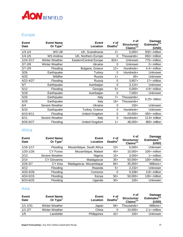## **AON BENFIELD**

#### Europe

| <b>Event</b><br><b>Date</b> | <b>Event Name</b><br>Or Type <sup>1</sup> | <b>Event</b><br><b>Location</b> | # of<br>Deaths $2$ | # of<br>Structures/<br>Claims $^{2,3}$ | <b>Damage</b><br>Estimates $^{2,4}$<br>(USD) |
|-----------------------------|-------------------------------------------|---------------------------------|--------------------|----------------------------------------|----------------------------------------------|
| $1/3 - 1/4$                 | WS Ulli                                   | UK, Scandinavia                 | $2+$               | $5,000+$                               | 500+ million                                 |
| $1/4 - 1/5$                 | <b>WS Andrea</b>                          | UK, Northern Europe             | 0                  | Thousands+                             | 650+ million                                 |
| 1/24-2/17                   | Winter Weather                            | Eastern/Central Europe          | $824+$             | Unknown                                | 775+ million                                 |
| $2/7 - 2/8$                 | Winter Weather                            | Ukraine                         | 0                  | Unknown                                | 2+ million                                   |
| $2/7 - 2/9$                 | Flooding                                  | Bulgaria, Greece                | $12+$              | Hundreds+                              | 4.4+ million                                 |
| 3/26                        | Earthquake                                | Turkey                          | $\Omega$           | Hundreds+                              | Unknown                                      |
| 4/20                        | Wildfire                                  | Russia                          | $1+$               | $65+$                                  | Unknown                                      |
| $4/22 - 4/27$               | Flooding                                  | Russia                          | 0                  | $3,957+$                               | 17+ million                                  |
| 5/7                         | Earthquake                                | Azerbaijan                      | $\Omega$           | $3,124+$                               | Unknown                                      |
| 5/12                        | Flooding                                  | Georgia                         | 5+                 | $5,000+$                               | 4.9+ million                                 |
| 5/18                        | Earthquake                                | Azerbaijan                      | 0                  | $7,000+$                               | Unknown                                      |
| 5/20                        | Earthquake                                | Italy                           | $7+$               | Thousands+                             | $6.25+$ billion                              |
| 5/29                        | Earthquake                                | Italy                           | $18 +$             | Thousands+                             |                                              |
| 6/4                         | Severe Weather                            | Ukraine                         | 0                  | $150+$                                 | Unknown                                      |
| 6/10                        | Earthquake                                | Turkey, Greece                  | 0                  | Hundreds+                              | Unknown                                      |
| $6/10 - 6/11$               | Flooding                                  | United Kingdom                  | 0                  | $20,000+$                              | 450+ million                                 |
| 6/11                        | Severe Weather                            | Italy                           | $\Omega$           | Hundreds+                              | 12.6+ million                                |
| $6/26 - 6/27$               | Flooding                                  | United Kingdom                  | $1+$               | $48,000+$                              | 800+ million                                 |

#### Africa

| Event<br>Date | <b>Event Name</b><br>Or Type <sup>1</sup> | <b>Event</b><br>Location | # of<br>Deaths ${}^{2}$ | # of<br>Structures/<br>Claims $^{2,3}$ | <b>Damage</b><br>Estimates <sup>2,4</sup><br>(USD) |
|---------------|-------------------------------------------|--------------------------|-------------------------|----------------------------------------|----------------------------------------------------|
| $1/16 - 1/17$ | Flooding                                  | Mozambique, South Africa | $10+$                   | $5,000+$                               | Unknown                                            |
| $1/20 - 1/26$ | CY Funso                                  | Mozambique, Malawi       | $40+$                   | $10,000+$                              | $100+$ million                                     |
| 2/13          | Severe Weather                            | Nigeria                  | $15+$                   | $3,000+$                               | $1+$ million                                       |
| 2/14          | CY Giovanna                               | Madagascar               | $35+$                   | $50,000+$                              | $100+$ million                                     |
| $2/26 - 3/7$  | CY Irina                                  | Madagascar, Mozambique   | $84+$                   | $35,000+$                              | Millions+                                          |
| 4/12          | Flooding                                  | Rwanda                   | $5+$                    | $2,232+$                               | Unknown                                            |
| $4/20 - 4/28$ | Flooding                                  | Comoros                  | 0                       | $9,338+$                               | 3.8+ million                                       |
| $4/24 - 5/15$ | Flooding                                  | Kenya                    | $50+$                   | $50,000+$                              | $130+$ million                                     |
| $6/23 - 6/25$ | Flooding                                  | Uganda                   | $30+$                   | $100+$                                 | Unknown                                            |

#### Asia

| <b>Event</b><br>Date | <b>Event Name</b><br>Or Type <sup>1</sup> | Event<br>Location  | # of<br>Deaths <sup>2</sup> | # of<br>Structures/<br>Claims $^{2,3}$ | Damage<br>Estimates $^{2,4}$<br>(USD) |
|----------------------|-------------------------------------------|--------------------|-----------------------------|----------------------------------------|---------------------------------------|
| $1/1 - 1/31$         | Winter Weather                            | Japan              | 56+                         | ⊺housands+                             | Millions+                             |
| $1/1 - 2/7$          | Winter Weather                            | China              |                             | $10,000+$                              | $2.1 +$ million                       |
| 1/5                  | Landslide                                 | <b>Philippines</b> | $42+$                       | $100+$                                 | Unknown                               |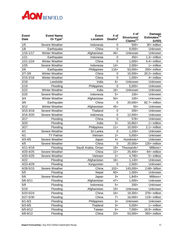

| <b>Event</b><br><b>Date</b> | <b>Event Name</b><br>Or Type <sup>1</sup> | <b>Event</b><br>Location | # of<br>Deaths <sup>2</sup> | # of<br>Structures/<br>Claims <sup>2,3</sup> | Damage<br>Estimates <sup>2,4</sup><br>(USD) |
|-----------------------------|-------------------------------------------|--------------------------|-----------------------------|----------------------------------------------|---------------------------------------------|
| 1/5                         | Severe Weather                            | Indonesia                | 0                           | $500+$                                       | 30+ million                                 |
| 1/8                         | Earthquake                                | China                    | $\mathbf 0$                 | $9,000+$                                     | Unknown                                     |
| $1/16 - 1/17$               | Winter Weather                            | Afghanistan              | $46+$                       | Unknown                                      | Unknown                                     |
| 1/21                        | Earthquake                                | Indonesia                | 0                           | $450+$                                       | 1.3+ million                                |
| $1/21 - 1/24$               | Winter Weather                            | China                    | $\mathbf 0$                 | $1,000+$                                     | 4.4+ million                                |
| 1/25                        | Severe Weather                            | Indonesia                | $14+$                       | $2,000+$                                     | 1+ million                                  |
| 2/6                         | Earthquake                                | Philippines              | $116+$                      | 53,000+                                      | 250+ million                                |
| $2/7 - 2/9$                 | Winter Weather                            | China                    | $\mathbf 0$                 | 10,000+                                      | 20.2+ million                               |
| $2/15 - 2/16$               | Winter Weather                            | China                    | $\mathbf 0$                 | $1,000+$                                     | 4+ million                                  |
| 2/18                        | Landslide                                 | India                    | $6+$                        | Unknown                                      | Unknown                                     |
| 2/19                        | Flooding                                  | Philippines              | 0                           | $5,000+$                                     | Unknown                                     |
| 2/22                        | Winter Weather                            | India                    | $16+$                       | Unknown                                      | Unknown                                     |
| 2/25                        | Severe Weather                            | Indonesia                | $5+$                        | $100+$                                       | Unknown                                     |
| 3/4                         | Winter Weather                            | Afghanistan              | $50+$                       | $100+$                                       | Unknown                                     |
| 3/9                         | Earthquake                                | China                    | $\mathbf 0$                 | 20,000+                                      | 82.7+ million                               |
| 3/12                        | Winter Weather                            | Afghanistan              | $45+$                       | $50+$                                        | Unknown                                     |
| $3/15 - 3/18$               | Severe Weather                            | Thailand                 | 0                           | $200+$                                       | Unknown                                     |
| 3/16-3/20                   | Severe Weather                            | Indonesia                | $\mathbf 0$                 | $12,000+$                                    | Unknown                                     |
| 3/17                        | Flooding                                  | China                    | $\mathbf 0$                 | $578+$                                       | Unknown                                     |
| 3/20                        | Flooding                                  | India                    | $3+$                        | 15,862+                                      | 1+ million                                  |
| 3/27                        | Flooding                                  | Philippines              | $11 +$                      | $10,000+$                                    | $2.1 +$ million                             |
| 4/1                         | Severe Weather                            | Sri Lanka                | $\mathbf 0$                 | $1,200+$                                     | Unknown                                     |
| 4/1                         | <b>TY Pakhar</b>                          | Vietnam                  | $2+$                        | $5,000+$                                     | Unknown                                     |
| $4/3 - 4/5$                 | Severe Weather                            | Japan                    | $4+$                        | Hundreds+                                    | Unknown                                     |
| 4/5                         | Severe Weather                            | China                    | $\mathbf 0$                 | 20,000+                                      | 120+ million                                |
| $4/11 - 4/18$               | Flooding                                  | Saudi Arabia, Oman       | $18 +$                      | Thousands+                                   | Millions+                                   |
| 4/20-4/25                   | Severe Weather                            | China                    | $12+$                       | 25,400+                                      | 84+ million                                 |
| 4/20-4/25                   | Severe Weather                            | Vietnam                  | $2+$                        | $4,780+$                                     | 5+ million                                  |
| 4/22                        | Flooding                                  | Afghanistan              | $16+$                       | $1,140+$                                     | Unknown                                     |
| 4/23-4/29                   | Flooding                                  | Kyrgyzstan               | $\mathbf 0$                 | $2,500+$                                     | Unknown                                     |
| 4/28-5/15                   | Severe Weather                            | China                    | $102 +$                     | 143,000+                                     | 2.68+ billion                               |
| 5/5                         | Flooding                                  | Nepal                    | $60+$                       | $1,000+$                                     | Unknown                                     |
| 5/6                         | Severe Weather                            | Japan                    | $3+$                        | $1,845+$                                     | Millions+                                   |
| $5/6 - 5/11$                | Flooding                                  | Afghanistan              | $47+$                       | $1,000+$                                     | Unknown                                     |
| 5/9                         | Flooding                                  | Indonesia                | 5+                          | $200+$                                       | Unknown                                     |
| 5/19                        | Flooding                                  | Afghanistan              | $19+$                       | Unknown                                      | Unknown                                     |
| 5/20-5/24                   | Flooding                                  | China                    | $16+$                       | $19,300+$                                    | 378+ million                                |
| 5/27-5/30                   | Flooding                                  | China                    | $7+$                        | 16,000+                                      | 119+ million                                |
| $6/1 - 6/3$                 | Flooding                                  | Philippines              | $3+$                        | Unknown                                      | Unknown                                     |
| $6/3 - 6/5$                 | Flooding                                  | Thailand                 | $3+$                        | $5,000+$                                     | 1+ million                                  |
| $6/5 - 6/12$                | Flooding                                  | Taiwan                   | $6+$                        | $7,000+$                                     | 16.9+ million                               |
| $6/8 - 6/12$                | Flooding                                  | China                    | $23+$                       | 53,000+                                      | 393+ million                                |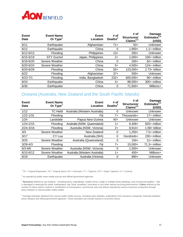

| Event<br><b>Date</b> | <b>Event Name</b><br>Or $Type1$ | Event<br>Location  | # of<br>Deaths $2$ | # of<br>Structures/<br>Claims $^{2,3}$ | <b>Damage</b><br>Estimates <sup>2,4</sup><br>(USD) |
|----------------------|---------------------------------|--------------------|--------------------|----------------------------------------|----------------------------------------------------|
| 6/11                 | Earthquake                      | Afghanistan        | $71+$              | $50+$                                  | Unknown                                            |
| 6/12                 | Earthquake                      | China              | 0                  | $1,900+$                               | $1.1 +$ million                                    |
| $6/12 - 6/13$        | Flooding                        | Philippines        | $13+$              | $283+$                                 | <b>Unknown</b>                                     |
| $6/15 - 6/19$        | <b>STY Guchol</b>               | Japan, Philippines | $2+$               | $1,000+$                               | $100+$ million                                     |
| $6/18 - 6/20$        | Severe Weather                  | China              | 0                  | $200+$                                 | 82+ million                                        |
| $6/20 - 6/24$        | Severe Weather                  | China              | 5+                 | $4,500+$                               | $124 +$ million                                    |
| $6/20 - 6/29$        | Flooding                        | China              | $50+$              | 123,000+                               | $2.73 + billion$                                   |
| 6/22                 | Flooding                        | Afghanistan        | $37+$              | $500+$                                 | Unknown                                            |
| $6/23 - 7/1$         | Flooding                        | India, Bangladesh  | $232+$             | 600,000+                               | 90+ million                                        |
| 6/24                 | Earthquake                      | China              | 4+                 | 88,000+                                | 300+ million                                       |
| 6/30                 | Earthquake                      | China              | 0                  | $71,500+$                              | Millions+                                          |

#### *<u>Oceania</u>* (Australia, New Zealand and the South Pacific Islands)

| Event<br><b>Date</b> | <b>Event Name</b><br>Or Type | Event<br>Location             | # of<br>Deaths <sup>*</sup> | # of<br>Structures/<br>Claims $^{2,3}$ | Damage<br>Estimates $^{2,4}$<br>(USD) |
|----------------------|------------------------------|-------------------------------|-----------------------------|----------------------------------------|---------------------------------------|
| 1/12                 | <b>TC</b> Heidi              | Australia (Western Australia) | 0                           | Unknown                                | Unknown                               |
| $1/22 - 1/31$        | Flooding                     | Fiji                          | 7+                          | Thousands+                             | $17+$ million                         |
| 1/24                 | Landslide                    | Papua New Guinea              | $40+$                       | Unknown                                | Unknown                               |
| $1/24 - 2/15$        | Flooding                     | Australia (NSW, Queensland)   | $1+$                        | $6,408+$                               | 920+ million                          |
| $2/24 - 3/16$        | Flooding                     | Australia (NSW, Victoria)     | $2+$                        | $8,914+$                               | $1.58 + billion$                      |
| 3/3                  | Severe Weather               | New Zealand                   | 0                           | $1,250+$                               | $7.5+$ million                        |
| 3/17                 | CY Lua                       | Australia (WA)                | 0                           | Hundreds+                              | $230+$ million                        |
| 3/20                 | Severe Weather               | Australia (Queensland)        | 0                           | $150+$                                 | $21 +$ million                        |
| $3/29 - 4/3$         | Flooding                     | Fiji                          | $7+$                        | 15,000+                                | $71.3+$ million                       |
| $6/3 - 6/6$          | Severe Weather               | Australia (NSW, Victoria)     | $\Omega$                    | $1,500+$                               | Unknown                               |
| $6/10 - 6/12$        | Severe Weather               | Australia (Western Australia) | $1+$                        | $450+$                                 | Millions+                             |
| 6/19                 | Earthquake                   | Australia (Victoria)          | 0                           | 880+                                   | <b>Unknown</b>                        |

<sup>1</sup> TD = Tropical Depression, TS = Tropical Storm, HU = Hurricane, TY = Typhoon, STY = Super Typhoon, CY = Cyclone

 $2$  As reported by public news media sources and official government agencies

<sup>3</sup> **Structures** defined as any building – including barns, outbuildings, mobile homes, single or multiple family dwellings, and commercial facilities – that is damaged or destroyed by winds, earthquakes, hail, flood, tornadoes, hurricanes or any other natural-occurring phenomenon. **Claims** defined as the number of claims (which could be a combination of homeowners, commercial, auto and others) reported by various insurance companies through press releases or various public media outlets.

<sup>4</sup> Damage estimates obtained from various public media sources, including news websites, publications from insurance companies, financial institution press releases and official government agencies. These estimates can include insured or economic losses.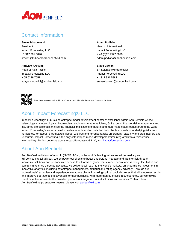

#### <span id="page-13-0"></span>Contact Information

**Steve Jakubowski** President Impact Forecasting LLC +1 312 381 5890 steven.jakubowski@aonbenfield.com

**Adityam Krovvidi** Head of Asia Pacific Impact Forecasting LLC + 65 6239 7651 adityam.krovvidi@aonbenfield.com **Adam Podlaha** Head of International Impact Forecasting LLC + 44 (0)20 7522 3820 adam.podlaha@aonbenfield.com

**Steve Bowen** Sr. Scientist/Meteorologist Impact Forecasting LLC +1 312.381.5883 steven.bowen@aonbenfield.com



Scan here to access all editions of the Annual Global Climate and Catastrophe Report

#### <span id="page-13-1"></span>About Impact Forecasting® LLC

Impact Forecasting® LLC is a catastrophe model development center of excellence within Aon Benfield whose seismologists, meteorologists, hydrologists, engineers, mathematicians, GIS experts, finance, risk management and insurance professionals analyze the financial implications of natural and man-made catastrophes around the world. Impact Forecasting's experts develop software tools and models that help clients understand underlying risks from hurricanes, tornadoes, earthquakes, floods, wildfires and terrorist attacks on property, casualty and crop insurers and reinsurers. Impact Forecasting is the only catastrophe model development firm integrated into a reinsurance intermediary. To find out more about Impact Forecasting® LLC, visi[t impactforecasting.com.](http://www.impactforecasting.com/)

#### <span id="page-13-2"></span>About Aon Benfield

Aon Benfield, a division of Aon plc (NYSE: AON), is the world's leading reinsurance intermediary and full-service capital advisor. We empower our clients to better understand, manage and transfer risk through innovative solutions and personalized access to all forms of global reinsurance capital across treaty, facultative and capital markets. As a trusted advocate, we deliver local reach to the world's markets, an unparalleled investment in innovative analytics, including catastrophe management, actuarial and rating agency advisory. Through our professionals' expertise and experience, we advise clients in making optimal capital choices that will empower results and improve operational effectiveness for their business. With more than 80 offices in 50 countries, our worldwide client base has access to the broadest portfolio of integrated capital solutions and services. To learn how Aon Benfield helps empower results, please visi[t aonbenfield.com.](http://www.aonbenfield.com/)